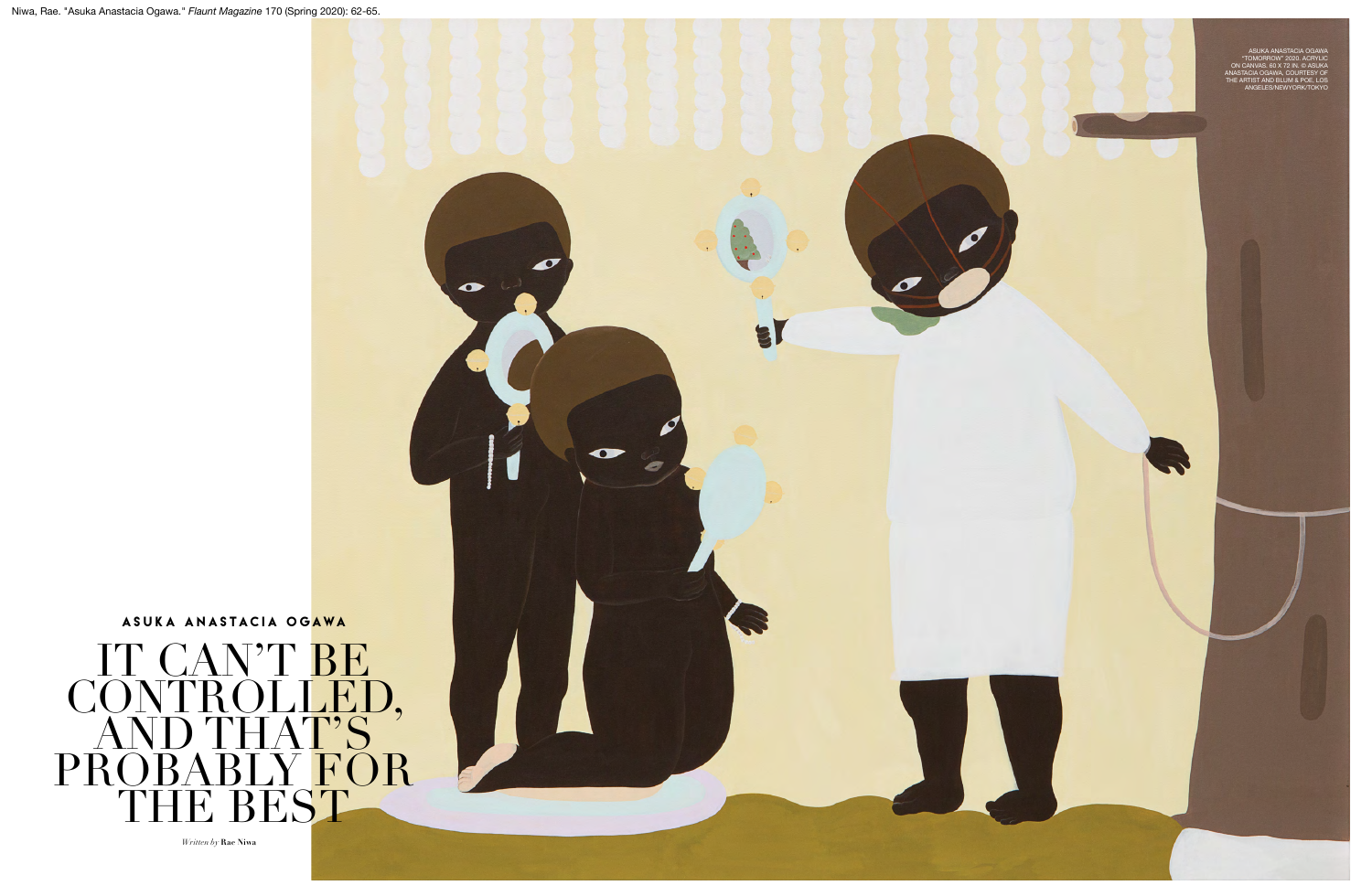

 $\bullet$ 

*Written by* **Rae Niwa**

1. 2010. 2010. 2010. 2010. 2020. 2020. 2020. 2020. 2020. 2020. 2020. 2020. 2020. 2020. 2020. 2020. 2020. 2020. 2020. 2020. 2020. 2020. 2020. 2020. 2020. 2020. 2020. 2020. 2020. 2020. 2020. 2020. 2020. 2020. 2020. 2020. 202

A

ASUKA ANASTACIA OGAWA "TOMORROW" 2020. ACRYLIC ON CANVAS. 60 X 72 IN. © ASUKA ANASTACIA OGAWA, COURTESY OF THE ARTIST AND BLUM & POE, LOS ANGELES/NEWYORK/TOKYO